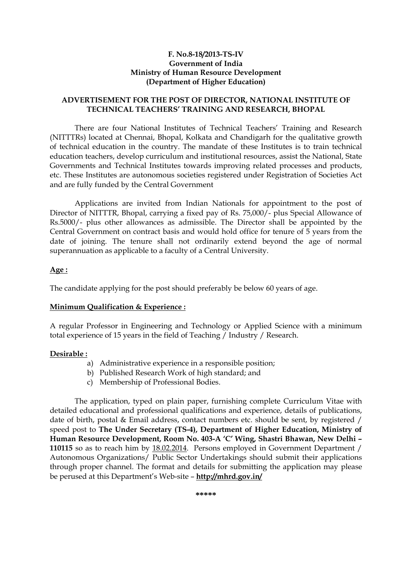### **F. No.8-18/2013-TS-IV Government of India Ministry of Human Resource Development (Department of Higher Education)**

## **ADVERTISEMENT FOR THE POST OF DIRECTOR, NATIONAL INSTITUTE OF TECHNICAL TEACHERS' TRAINING AND RESEARCH, BHOPAL**

There are four National Institutes of Technical Teachers' Training and Research (NITTTRs) located at Chennai, Bhopal, Kolkata and Chandigarh for the qualitative growth of technical education in the country. The mandate of these Institutes is to train technical education teachers, develop curriculum and institutional resources, assist the National, State Governments and Technical Institutes towards improving related processes and products, etc. These Institutes are autonomous societies registered under Registration of Societies Act and are fully funded by the Central Government

 Applications are invited from Indian Nationals for appointment to the post of Director of NITTTR, Bhopal, carrying a fixed pay of Rs. 75,000/- plus Special Allowance of Rs.5000/- plus other allowances as admissible. The Director shall be appointed by the Central Government on contract basis and would hold office for tenure of 5 years from the date of joining. The tenure shall not ordinarily extend beyond the age of normal superannuation as applicable to a faculty of a Central University.

#### **Age :**

The candidate applying for the post should preferably be below 60 years of age.

#### **Minimum Qualification & Experience :**

A regular Professor in Engineering and Technology or Applied Science with a minimum total experience of 15 years in the field of Teaching / Industry / Research.

#### **Desirable :**

- a) Administrative experience in a responsible position;
- b) Published Research Work of high standard; and
- c) Membership of Professional Bodies.

 The application, typed on plain paper, furnishing complete Curriculum Vitae with detailed educational and professional qualifications and experience, details of publications, date of birth, postal & Email address, contact numbers etc. should be sent, by registered / speed post to **The Under Secretary (TS-4), Department of Higher Education, Ministry of Human Resource Development, Room No. 403-A 'C' Wing, Shastri Bhawan, New Delhi – 110115** so as to reach him by 18.02.2014. Persons employed in Government Department / Autonomous Organizations/ Public Sector Undertakings should submit their applications through proper channel. The format and details for submitting the application may please be perused at this Department's Web-site – **http://mhrd.gov.in/**

**\*\*\*\*\***